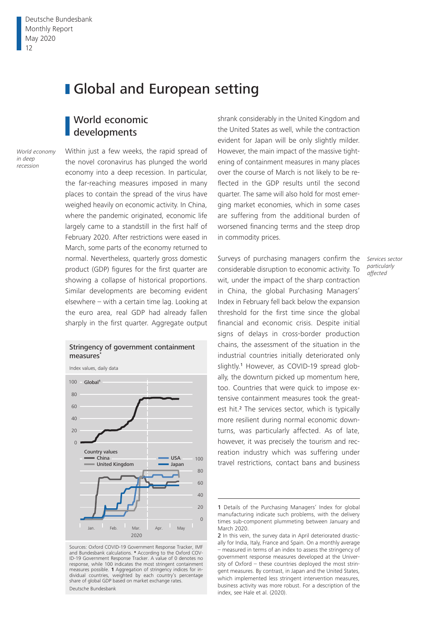# **Global and European setting**

## World economic developments

*World economy in deep recession*

Within just a few weeks, the rapid spread of the novel coronavirus has plunged the world economy into a deep recession. In particular, the far-reaching measures imposed in many places to contain the spread of the virus have weighed heavily on economic activity. In China, where the pandemic originated, economic life largely came to a standstill in the first half of February 2020. After restrictions were eased in March, some parts of the economy returned to normal. Nevertheless, quarterly gross domestic product (GDP) figures for the first quarter are showing a collapse of historical proportions. Similar developments are becoming evident elsewhere – with a certain time lag. Looking at the euro area, real GDP had already fallen sharply in the first quarter. Aggregate output



Sources: Oxford COVID-19 Government Response Tracker, IMF and Bundesbank calculations. **\*** According to the Oxford COV-ID-19 Government Response Tracker. A value of 0 denotes no response, while 100 indicates the most stringent containment measures possible. **1** Aggregation of stringency indices for individual countries, weighted by each country's percentage share of global GDP based on market exchange rates. Deutsche Bundesbank

shrank considerably in the United Kingdom and the United States as well, while the contraction evident for Japan will be only slightly milder. However, the main impact of the massive tightening of containment measures in many places over the course of March is not likely to be reflected in the GDP results until the second quarter. The same will also hold for most emerging market economies, which in some cases are suffering from the additional burden of worsened financing terms and the steep drop in commodity prices.

Surveys of purchasing managers confirm the considerable disruption to economic activity. To wit, under the impact of the sharp contraction in China, the global Purchasing Managers' Index in February fell back below the expansion threshold for the first time since the global financial and economic crisis. Despite initial signs of delays in cross-border production chains, the assessment of the situation in the industrial countries initially deteriorated only slightly.<sup>1</sup> However, as COVID-19 spread globally, the downturn picked up momentum here, too. Countries that were quick to impose extensive containment measures took the greatest hit.<sup>2</sup> The services sector, which is typically more resilient during normal economic downturns, was particularly affected. As of late, however, it was precisely the tourism and recreation industry which was suffering under travel restrictions, contact bans and business

*Services sector particularly affected*

<sup>1</sup> Details of the Purchasing Managers' Index for global manufacturing indicate such problems, with the delivery times sub-component plummeting between January and March 2020.

<sup>2</sup> In this vein, the survey data in April deteriorated drastically for India, Italy, France and Spain. On a monthly average – measured in terms of an index to assess the stringency of government response measures developed at the University of Oxford – these countries deployed the most stringent measures. By contrast, in Japan and the United States, which implemented less stringent intervention measures, business activity was more robust. For a description of the index, see Hale et al. (2020).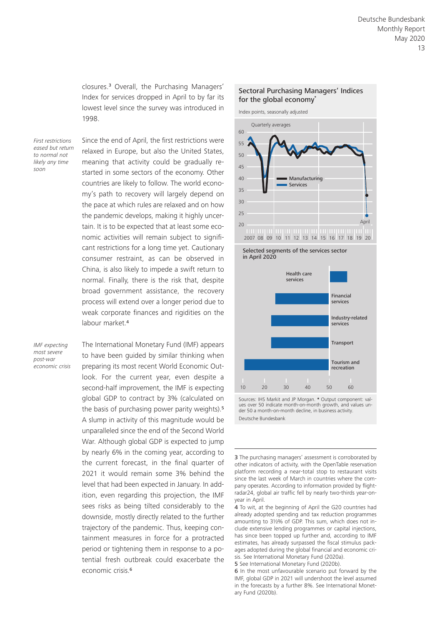closures.3 Overall, the Purchasing Managers' Index for services dropped in April to by far its lowest level since the survey was introduced in 1998.

*First restrictions eased but return to normal not likely any time soon*

Since the end of April, the first restrictions were relaxed in Europe, but also the United States, meaning that activity could be gradually restarted in some sectors of the economy. Other countries are likely to follow. The world economy's path to recovery will largely depend on the pace at which rules are relaxed and on how the pandemic develops, making it highly uncertain. It is to be expected that at least some economic activities will remain subject to significant restrictions for a long time yet. Cautionary consumer restraint, as can be observed in China, is also likely to impede a swift return to normal. Finally, there is the risk that, despite broad government assistance, the recovery process will extend over a longer period due to weak corporate finances and rigidities on the labour market<sup>4</sup>

*IMF expecting most severe post-war economic crisis* The International Monetary Fund (IMF) appears to have been guided by similar thinking when preparing its most recent World Economic Outlook. For the current year, even despite a second-half improvement, the IMF is expecting global GDP to contract by 3% (calculated on the basis of purchasing power parity weights).<sup>5</sup> A slump in activity of this magnitude would be unparalleled since the end of the Second World War. Although global GDP is expected to jump by nearly 6% in the coming year, according to the current forecast, in the final quarter of 2021 it would remain some 3% behind the level that had been expected in January. In addition, even regarding this projection, the IMF sees risks as being tilted considerably to the downside, mostly directly related to the further trajectory of the pandemic. Thus, keeping containment measures in force for a protracted period or tightening them in response to a potential fresh outbreak could exacerbate the economic crisis.<sup>6</sup>

#### Sectoral Purchasing Managers' Indices for the global economy**\***

Index points, seasonally adjusted







Sources: IHS Markit and JP Morgan. **\*** Output component: values over 50 indicate month-on-month growth, and values under 50 a month-on-month decline, in business activity. Deutsche Bundesbank

3 The purchasing managers' assessment is corroborated by other indicators of activity, with the OpenTable reservation platform recording a near-total stop to restaurant visits since the last week of March in countries where the company operates. According to information provided by flightradar24, global air traffic fell by nearly two-thirds year-onyear in April.

4 To wit, at the beginning of April the G20 countries had already adopted spending and tax reduction programmes amounting to 3½% of GDP. This sum, which does not include extensive lending programmes or capital injections, has since been topped up further and, according to IMF estimates, has already surpassed the fiscal stimulus packages adopted during the global financial and economic crisis. See International Monetary Fund (2020a).

5 See International Monetary Fund (2020b).

6 In the most unfavourable scenario put forward by the IMF, global GDP in 2021 will undershoot the level assumed in the forecasts by a further 8%. See International Monetary Fund (2020b).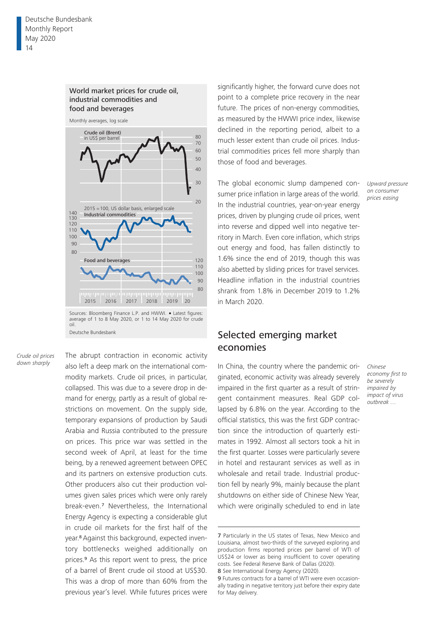#### World market prices for crude oil, industrial commodities and food and beverages



average of 1 to 8 May 2020, or 1 to 14 May 2020 for crude oil. Deutsche Bundesbank

*Crude oil prices down sharply*

The abrupt contraction in economic activity also left a deep mark on the international commodity markets. Crude oil prices, in particular, collapsed. This was due to a severe drop in demand for energy, partly as a result of global restrictions on movement. On the supply side, temporary expansions of production by Saudi Arabia and Russia contributed to the pressure on prices. This price war was settled in the second week of April, at least for the time being, by a renewed agreement between OPEC and its partners on extensive production cuts. Other producers also cut their production volumes given sales prices which were only rarely break-even.7 Nevertheless, the International Energy Agency is expecting a considerable glut in crude oil markets for the first half of the year.<sup>8</sup> Against this background, expected inventory bottlenecks weighed additionally on prices.9 As this report went to press, the price of a barrel of Brent crude oil stood at US\$30. This was a drop of more than 60% from the previous year's level. While futures prices were

significantly higher, the forward curve does not point to a complete price recovery in the near future. The prices of non-energy commodities, as measured by the HWWI price index, likewise declined in the reporting period, albeit to a much lesser extent than crude oil prices. Industrial commodities prices fell more sharply than those of food and beverages.

The global economic slump dampened consumer price inflation in large areas of the world. In the industrial countries, year-on-year energy prices, driven by plunging crude oil prices, went into reverse and dipped well into negative territory in March. Even core inflation, which strips out energy and food, has fallen distinctly to 1.6% since the end of 2019, though this was also abetted by sliding prices for travel services. Headline inflation in the industrial countries shrank from 1.8% in December 2019 to 1.2% in March 2020.

### Selected emerging market economies

In China, the country where the pandemic originated, economic activity was already severely impaired in the first quarter as a result of stringent containment measures. Real GDP collapsed by 6.8% on the year. According to the official statistics, this was the first GDP contraction since the introduction of quarterly estimates in 1992. Almost all sectors took a hit in the first quarter. Losses were particularly severe in hotel and restaurant services as well as in wholesale and retail trade. Industrial production fell by nearly 9%, mainly because the plant shutdowns on either side of Chinese New Year, which were originally scheduled to end in late

7 Particularly in the US states of Texas, New Mexico and Louisiana, almost two-thirds of the surveyed exploring and production firms reported prices per barrel of WTI of US\$24 or lower as being insufficient to cover operating costs. See Federal Reserve Bank of Dallas (2020).

8 See International Energy Agency (2020).

*Upward pressure on consumer prices easing*

*Chinese economy first to be severely impaired by impact of virus outbreak …*

<sup>9</sup> Futures contracts for a barrel of WTI were even occasionally trading in negative territory just before their expiry date for May delivery.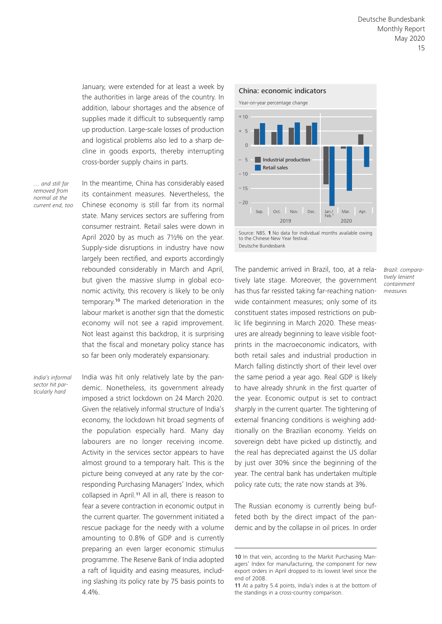January, were extended for at least a week by the authorities in large areas of the country. In addition, labour shortages and the absence of supplies made it difficult to subsequently ramp up production. Large-scale losses of production and logistical problems also led to a sharp decline in goods exports, thereby interrupting cross-border supply chains in parts.

*… and still far removed from normal at the current end, too* In the meantime, China has considerably eased its containment measures. Nevertheless, the Chinese economy is still far from its normal state. Many services sectors are suffering from consumer restraint. Retail sales were down in April 2020 by as much as 7½% on the year. Supply-side disruptions in industry have now largely been rectified, and exports accordingly rebounded considerably in March and April, but given the massive slump in global economic activity, this recovery is likely to be only temporary.10 The marked deterioration in the labour market is another sign that the domestic economy will not see a rapid improvement. Not least against this backdrop, it is surprising that the fiscal and monetary policy stance has so far been only moderately expansionary.

*India's informal sector hit particularly hard*

India was hit only relatively late by the pandemic. Nonetheless, its government already imposed a strict lockdown on 24 March 2020. Given the relatively informal structure of India's economy, the lockdown hit broad segments of the population especially hard. Many day labourers are no longer receiving income. Activity in the services sector appears to have almost ground to a temporary halt. This is the picture being conveyed at any rate by the corresponding Purchasing Managers' Index, which collapsed in April.<sup>11</sup> All in all, there is reason to fear a severe contraction in economic output in the current quarter. The government initiated a rescue package for the needy with a volume amounting to 0.8% of GDP and is currently preparing an even larger economic stimulus programme. The Reserve Bank of India adopted a raft of liquidity and easing measures, including slashing its policy rate by 75 basis points to 4.4%.



Source: NBS. **1** No data for individual months available owing to the Chinese New Year festival. Deutsche Bundesbank

The pandemic arrived in Brazil, too, at a relatively late stage. Moreover, the government has thus far resisted taking far-reaching nationwide containment measures; only some of its constituent states imposed restrictions on public life beginning in March 2020. These measures are already beginning to leave visible footprints in the macroeconomic indicators, with both retail sales and industrial production in March falling distinctly short of their level over the same period a year ago. Real GDP is likely to have already shrunk in the first quarter of the year. Economic output is set to contract sharply in the current quarter. The tightening of external financing conditions is weighing additionally on the Brazilian economy. Yields on sovereign debt have picked up distinctly, and the real has depreciated against the US dollar by just over 30% since the beginning of the year. The central bank has undertaken multiple policy rate cuts; the rate now stands at 3%.

The Russian economy is currently being buffeted both by the direct impact of the pandemic and by the collapse in oil prices. In order *Brazil: comparatively lenient containment measures*

<sup>10</sup> In that vein, according to the Markit Purchasing Managers' Index for manufacturing, the component for new export orders in April dropped to its lowest level since the end of 2008.

<sup>11</sup> At a paltry 5.4 points, India's index is at the bottom of the standings in a cross-country comparison.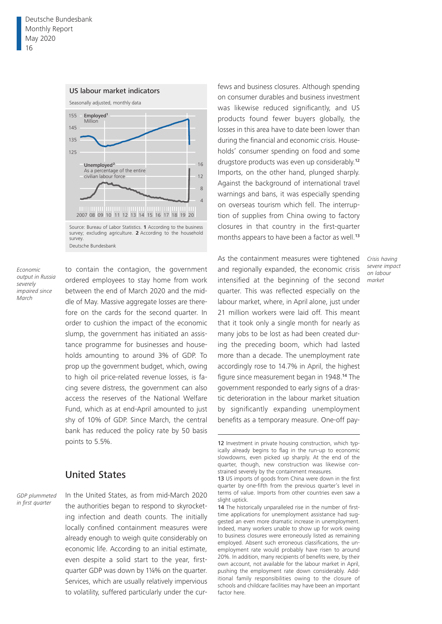

*Economic output in Russia severely impaired since March*

to contain the contagion, the government ordered employees to stay home from work between the end of March 2020 and the middle of May. Massive aggregate losses are therefore on the cards for the second quarter. In order to cushion the impact of the economic slump, the government has initiated an assistance programme for businesses and households amounting to around 3% of GDP. To prop up the government budget, which, owing to high oil price-related revenue losses, is facing severe distress, the government can also access the reserves of the National Welfare Fund, which as at end-April amounted to just shy of 10% of GDP. Since March, the central bank has reduced the policy rate by 50 basis points to 5.5%.

### United States

*GDP plummeted in first quarter*

In the United States, as from mid-March 2020 the authorities began to respond to skyrocketing infection and death counts. The initially locally confined containment measures were already enough to weigh quite considerably on economic life. According to an initial estimate, even despite a solid start to the year, firstquarter GDP was down by 1¼% on the quarter. Services, which are usually relatively impervious to volatility, suffered particularly under the cur-

fews and business closures. Although spending on consumer durables and business investment was likewise reduced significantly, and US products found fewer buyers globally, the losses in this area have to date been lower than during the financial and economic crisis. Households' consumer spending on food and some drugstore products was even up considerably.<sup>12</sup> Imports, on the other hand, plunged sharply. Against the background of international travel warnings and bans, it was especially spending on overseas tourism which fell. The interruption of supplies from China owing to factory closures in that country in the first-quarter months appears to have been a factor as well.<sup>13</sup>

As the containment measures were tightened and regionally expanded, the economic crisis intensified at the beginning of the second quarter. This was reflected especially on the labour market, where, in April alone, just under 21 million workers were laid off. This meant that it took only a single month for nearly as many jobs to be lost as had been created during the preceding boom, which had lasted more than a decade. The unemployment rate accordingly rose to 14.7% in April, the highest figure since measurement began in 1948.14 The government responded to early signs of a drastic deterioration in the labour market situation by significantly expanding unemployment benefits as a temporary measure. One-off pay-

*Crisis having severe impact on labour market*

<sup>12</sup> Investment in private housing construction, which typically already begins to flag in the run-up to economic slowdowns, even picked up sharply. At the end of the quarter, though, new construction was likewise constrained severely by the containment measures.

<sup>13</sup> US imports of goods from China were down in the first quarter by one-fifth from the previous quarter's level in terms of value. Imports from other countries even saw a slight uptick.

<sup>14</sup> The historically unparalleled rise in the number of firsttime applications for unemployment assistance had suggested an even more dramatic increase in unemployment. Indeed, many workers unable to show up for work owing to business closures were erroneously listed as remaining employed. Absent such erroneous classifications, the unemployment rate would probably have risen to around 20%. In addition, many recipients of benefits were, by their own account, not available for the labour market in April, pushing the employment rate down considerably. Additional family responsibilities owing to the closure of schools and childcare facilities may have been an important factor here.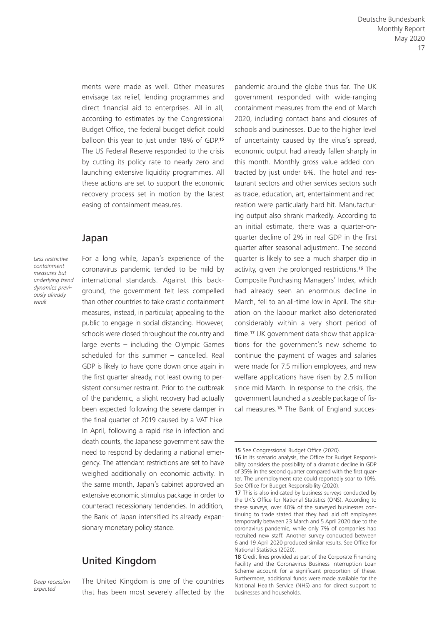ments were made as well. Other measures envisage tax relief, lending programmes and direct financial aid to enterprises. All in all, according to estimates by the Congressional Budget Office, the federal budget deficit could balloon this year to just under 18% of GDP.<sup>15</sup> The US Federal Reserve responded to the crisis by cutting its policy rate to nearly zero and launching extensive liquidity programmes. All these actions are set to support the economic recovery process set in motion by the latest easing of containment measures.

### Japan

*Less restrictive containment measures but underlying trend dynamics previously already weak*

For a long while, Japan's experience of the coronavirus pandemic tended to be mild by international standards. Against this background, the government felt less compelled than other countries to take drastic containment measures, instead, in particular, appealing to the public to engage in social distancing. However, schools were closed throughout the country and large events  $-$  including the Olympic Games scheduled for this summer  $-$  cancelled. Real GDP is likely to have gone down once again in the first quarter already, not least owing to persistent consumer restraint. Prior to the outbreak of the pandemic, a slight recovery had actually been expected following the severe damper in the final quarter of 2019 caused by a VAT hike. In April, following a rapid rise in infection and death counts, the Japanese government saw the need to respond by declaring a national emergency. The attendant restrictions are set to have weighed additionally on economic activity. In the same month, Japan's cabinet approved an extensive economic stimulus package in order to counteract recessionary tendencies. In addition, the Bank of Japan intensified its already expansionary monetary policy stance.

### United Kingdom

*Deep recession expected*

The United Kingdom is one of the countries that has been most severely affected by the pandemic around the globe thus far. The UK government responded with wide-ranging containment measures from the end of March 2020, including contact bans and closures of schools and businesses. Due to the higher level of uncertainty caused by the virus's spread, economic output had already fallen sharply in this month. Monthly gross value added contracted by just under 6%. The hotel and restaurant sectors and other services sectors such as trade, education, art, entertainment and recreation were particularly hard hit. Manufacturing output also shrank markedly. According to an initial estimate, there was a quarter-onquarter decline of 2% in real GDP in the first quarter after seasonal adjustment. The second quarter is likely to see a much sharper dip in activity, given the prolonged restrictions.16 The Composite Purchasing Managers' Index, which had already seen an enormous decline in March, fell to an all-time low in April. The situation on the labour market also deteriorated considerably within a very short period of time.17 UK government data show that applications for the government's new scheme to continue the payment of wages and salaries were made for 7.5 million employees, and new welfare applications have risen by 2.5 million since mid-March. In response to the crisis, the government launched a sizeable package of fiscal measures.18 The Bank of England succes-

<sup>15</sup> See Congressional Budget Office (2020).

<sup>16</sup> In its scenario analysis, the Office for Budget Responsibility considers the possibility of a dramatic decline in GDP of 35% in the second quarter compared with the first quarter. The unemployment rate could reportedly soar to 10%. See Office for Budget Responsibility (2020).

<sup>17</sup> This is also indicated by business surveys conducted by the UK's Office for National Statistics (ONS). According to these surveys, over 40% of the surveyed businesses continuing to trade stated that they had laid off employees temporarily between 23 March and 5 April 2020 due to the coronavirus pandemic, while only 7% of companies had recruited new staff. Another survey conducted between 6 and 19 April 2020 produced similar results. See Office for National Statistics (2020).

<sup>18</sup> Credit lines provided as part of the Corporate Financing Facility and the Coronavirus Business Interruption Loan Scheme account for a significant proportion of these. Furthermore, additional funds were made available for the National Health Service (NHS) and for direct support to businesses and households.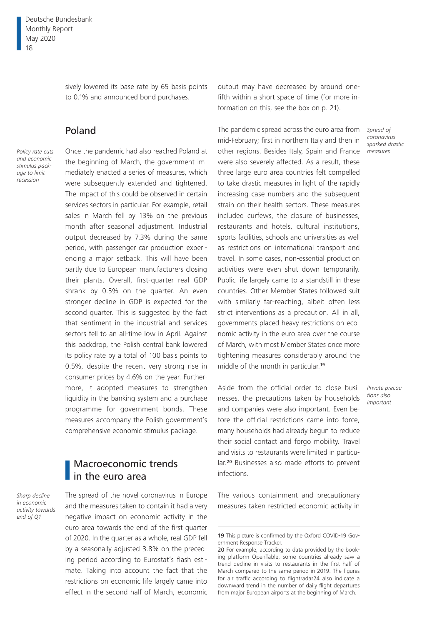sively lowered its base rate by 65 basis points to 0.1% and announced bond purchases.

# Poland

*Policy rate cuts and economic stimulus package to limit recession*

Once the pandemic had also reached Poland at the beginning of March, the government immediately enacted a series of measures, which were subsequently extended and tightened. The impact of this could be observed in certain services sectors in particular. For example, retail sales in March fell by 13% on the previous month after seasonal adjustment. Industrial output decreased by 7.3% during the same period, with passenger car production experiencing a major setback. This will have been partly due to European manufacturers closing their plants. Overall, first-quarter real GDP shrank by 0.5% on the quarter. An even stronger decline in GDP is expected for the second quarter. This is suggested by the fact that sentiment in the industrial and services sectors fell to an all-time low in April. Against this backdrop, the Polish central bank lowered its policy rate by a total of 100 basis points to 0.5%, despite the recent very strong rise in consumer prices by 4.6% on the year. Furthermore, it adopted measures to strengthen liquidity in the banking system and a purchase programme for government bonds. These measures accompany the Polish government's comprehensive economic stimulus package.

# Macroeconomic trends in the euro area

*Sharp decline in economic activity towards end of Q1*

The spread of the novel coronavirus in Europe and the measures taken to contain it had a very negative impact on economic activity in the euro area towards the end of the first quarter of 2020. In the quarter as a whole, real GDP fell by a seasonally adjusted 3.8% on the preceding period according to Eurostat's flash estimate. Taking into account the fact that the restrictions on economic life largely came into effect in the second half of March, economic output may have decreased by around onefifth within a short space of time (for more information on this, see the box on p. 21).

The pandemic spread across the euro area from mid-February; first in northern Italy and then in other regions. Besides Italy, Spain and France were also severely affected. As a result, these three large euro area countries felt compelled to take drastic measures in light of the rapidly increasing case numbers and the subsequent strain on their health sectors. These measures included curfews, the closure of businesses, restaurants and hotels, cultural institutions, sports facilities, schools and universities as well as restrictions on international transport and travel. In some cases, non-essential production activities were even shut down temporarily. Public life largely came to a standstill in these countries. Other Member States followed suit with similarly far-reaching, albeit often less strict interventions as a precaution. All in all, governments placed heavy restrictions on economic activity in the euro area over the course of March, with most Member States once more tightening measures considerably around the middle of the month in particular.<sup>19</sup>

Aside from the official order to close businesses, the precautions taken by households and companies were also important. Even before the official restrictions came into force, many households had already begun to reduce their social contact and forgo mobility. Travel and visits to restaurants were limited in particular.20 Businesses also made efforts to prevent infections.

The various containment and precautionary measures taken restricted economic activity in *Spread of coronavirus sparked drastic measures*

*Private precautions also important*

<sup>19</sup> This picture is confirmed by the Oxford COVID-19 Government Response Tracker.

<sup>20</sup> For example, according to data provided by the booking platform OpenTable, some countries already saw a trend decline in visits to restaurants in the first half of March compared to the same period in 2019. The figures for air traffic according to flightradar24 also indicate a downward trend in the number of daily flight departures from major European airports at the beginning of March.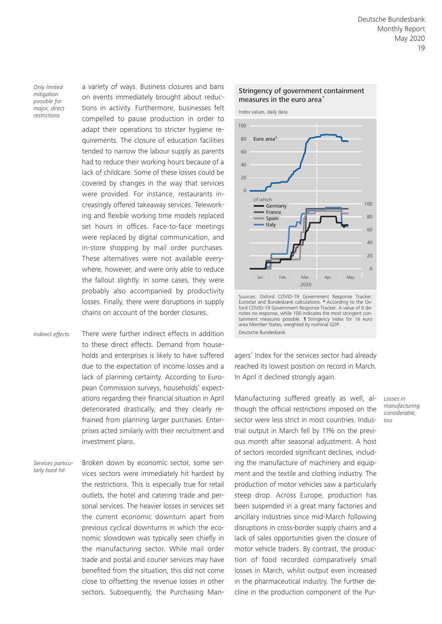*Only limited mitigation possible for major, direct restrictions*

a variety of ways. Business closures and bans on events immediately brought about reductions in activity. Furthermore, businesses felt compelled to pause production in order to adapt their operations to stricter hygiene requirements. The closure of education facilities tended to narrow the labour supply as parents had to reduce their working hours because of a lack of childcare. Some of these losses could be covered by changes in the way that services were provided. For instance, restaurants increasingly offered takeaway services. Teleworking and flexible working time models replaced set hours in offices. Face-to-face meetings were replaced by digital communication, and in-store shopping by mail order purchases. These alternatives were not available everywhere, however, and were only able to reduce the fallout slightly. In some cases, they were probably also accompanied by productivity losses. Finally, there were disruptions in supply chains on account of the border closures.

There were further indirect effects in addition to these direct effects. Demand from households and enterprises is likely to have suffered due to the expectation of income losses and a lack of planning certainty. According to European Commission surveys, households' expectations regarding their financial situation in April deteriorated drastically, and they clearly refrained from planning larger purchases. Enterprises acted similarly with their recruitment and investment plans. *Indirect effects*

Broken down by economic sector, some services sectors were immediately hit hardest by the restrictions. This is especially true for retail outlets, the hotel and catering trade and personal services. The heavier losses in services set the current economic downturn apart from previous cyclical downturns in which the economic slowdown was typically seen chiefly in the manufacturing sector. While mail order trade and postal and courier services may have benefited from the situation, this did not come close to offsetting the revenue losses in other sectors. Subsequently, the Purchasing Man-*Services particularly hard hit*



Sources: Oxford COVID-19 Government Response Tracker, Eurostat and Bundesbank calculations. **\*** According to the Oxford COVID-19 Government Response Tracker. A value of 0 denotes no response, while 100 indicates the most stringent con-tainment measures possible. **1** Stringency index for 16 euro area Member States, weighted by nominal GDP. Deutsche Bundesbank

agers' Index for the services sector had already reached its lowest position on record in March. In April it declined strongly again.

Manufacturing suffered greatly as well, although the official restrictions imposed on the sector were less strict in most countries. Industrial output in March fell by 11% on the previous month after seasonal adjustment. A host of sectors recorded significant declines, including the manufacture of machinery and equipment and the textile and clothing industry. The production of motor vehicles saw a particularly steep drop. Across Europe, production has been suspended in a great many factories and ancillary industries since mid-March following disruptions in cross-border supply chains and a lack of sales opportunities given the closure of motor vehicle traders. By contrast, the production of food recorded comparatively small losses in March, whilst output even increased in the pharmaceutical industry. The further decline in the production component of the Pur*Losses in manufacturing considerable, too*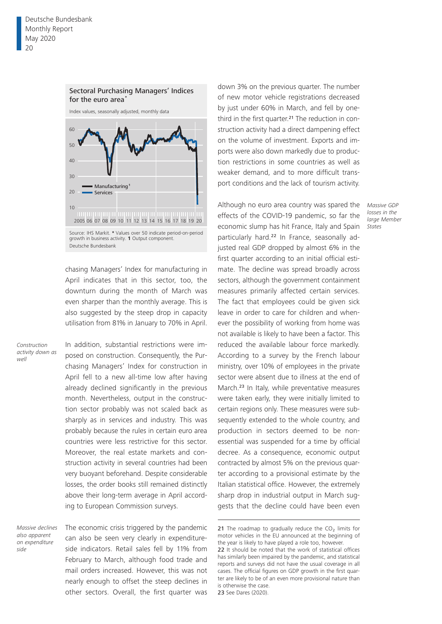

chasing Managers' Index for manufacturing in April indicates that in this sector, too, the downturn during the month of March was even sharper than the monthly average. This is also suggested by the steep drop in capacity utilisation from 81% in January to 70% in April.

*Construction activity down as well*

In addition, substantial restrictions were imposed on construction. Consequently, the Purchasing Managers' Index for construction in April fell to a new all-time low after having already declined significantly in the previous month. Nevertheless, output in the construction sector probably was not scaled back as sharply as in services and industry. This was probably because the rules in certain euro area countries were less restrictive for this sector. Moreover, the real estate markets and construction activity in several countries had been very buoyant beforehand. Despite considerable losses, the order books still remained distinctly above their long-term average in April according to European Commission surveys.

*Massive declines also apparent on expenditure side*

The economic crisis triggered by the pandemic can also be seen very clearly in expenditureside indicators. Retail sales fell by 11% from February to March, although food trade and mail orders increased. However, this was not nearly enough to offset the steep declines in other sectors. Overall, the first quarter was down 3% on the previous quarter. The number of new motor vehicle registrations decreased by just under 60% in March, and fell by onethird in the first quarter.<sup>21</sup> The reduction in construction activity had a direct dampening effect on the volume of investment. Exports and imports were also down markedly due to production restrictions in some countries as well as weaker demand, and to more difficult transport conditions and the lack of tourism activity.

Although no euro area country was spared the effects of the COVID-19 pandemic, so far the economic slump has hit France, Italy and Spain particularly hard.22 In France, seasonally adjusted real GDP dropped by almost 6% in the first quarter according to an initial official estimate. The decline was spread broadly across sectors, although the government containment measures primarily affected certain services. The fact that employees could be given sick leave in order to care for children and whenever the possibility of working from home was not available is likely to have been a factor. This reduced the available labour force markedly. According to a survey by the French labour ministry, over 10% of employees in the private sector were absent due to illness at the end of March.23 In Italy, while preventative measures were taken early, they were initially limited to certain regions only. These measures were subsequently extended to the whole country, and production in sectors deemed to be nonessential was suspended for a time by official decree. As a consequence, economic output contracted by almost 5% on the previous quarter according to a provisional estimate by the Italian statistical office. However, the extremely sharp drop in industrial output in March suggests that the decline could have been even

23 See Dares (2020).

*Massive GDP losses in the large Member States*

<sup>21</sup> The roadmap to gradually reduce the CO<sub>2</sub> limits for motor vehicles in the EU announced at the beginning of the year is likely to have played a role too, however.

<sup>22</sup> It should be noted that the work of statistical offices has similarly been impaired by the pandemic, and statistical reports and surveys did not have the usual coverage in all cases. The official figures on GDP growth in the first quarter are likely to be of an even more provisional nature than is otherwise the case.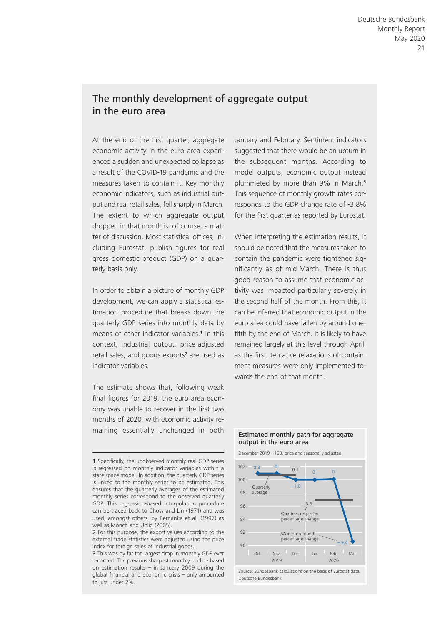# The monthly development of aggregate output in the euro area

At the end of the first quarter, aggregate economic activity in the euro area experienced a sudden and unexpected collapse as a result of the COVID- 19 pandemic and the measures taken to contain it. Key monthly economic indicators, such as industrial output and real retail sales, fell sharply in March. The extent to which aggregate output dropped in that month is, of course, a matter of discussion. Most statistical offices, including Eurostat, publish figures for real gross domestic product (GDP) on a quarterly basis only.

In order to obtain a picture of monthly GDP development, we can apply a statistical estimation procedure that breaks down the quarterly GDP series into monthly data by means of other indicator variables.<sup>1</sup> In this context, industrial output, price-adjusted retail sales, and goods exports<sup>2</sup> are used as indicator variables.

The estimate shows that, following weak final figures for 2019, the euro area economy was unable to recover in the first two months of 2020, with economic activity remaining essentially unchanged in both

January and February. Sentiment indicators suggested that there would be an upturn in the subsequent months. According to model outputs, economic output instead plummeted by more than 9% in March.<sup>3</sup> This sequence of monthly growth rates corresponds to the GDP change rate of -3.8% for the first quarter as reported by Eurostat.

When interpreting the estimation results, it should be noted that the measures taken to contain the pandemic were tightened significantly as of mid-March. There is thus good reason to assume that economic activity was impacted particularly severely in the second half of the month. From this, it can be inferred that economic output in the euro area could have fallen by around onefifth by the end of March. It is likely to have remained largely at this level through April, as the first, tentative relaxations of containment measures were only implemented towards the end of that month.



#### Estimated monthly path for aggregate output in the euro area

<sup>1</sup> Specifically, the unobserved monthly real GDP series is regressed on monthly indicator variables within a state space model. In addition, the quarterly GDP series is linked to the monthly series to be estimated. This ensures that the quarterly averages of the estimated monthly series correspond to the observed quarterly GDP. This regression-based interpolation procedure can be traced back to Chow and Lin (1971) and was used, amongst others, by Bernanke et al. (1997) as well as Mönch and Uhlig (2005).

<sup>2</sup> For this purpose, the export values according to the external trade statistics were adjusted using the price index for foreign sales of industrial goods.

<sup>3</sup> This was by far the largest drop in monthly GDP ever recorded. The previous sharpest monthly decline based on estimation results – in January 2009 during the global financial and economic crisis  $-$  only amounted to just under 2%.

Source: Bundesbank calculations on the basis of Eurostat data. Deutsche Bundesbank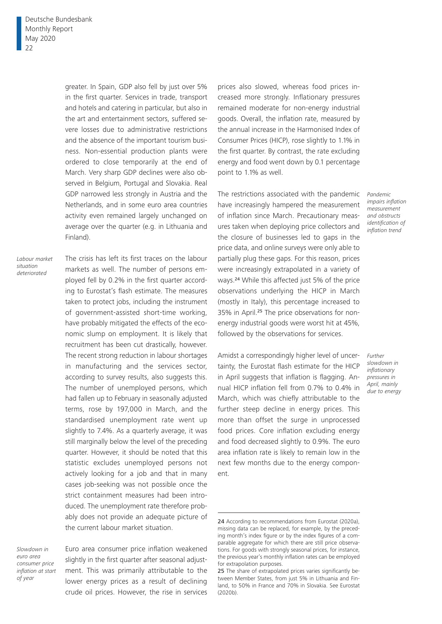greater. In Spain, GDP also fell by just over 5% in the first quarter. Services in trade, transport and hotels and catering in particular, but also in the art and entertainment sectors, suffered severe losses due to administrative restrictions and the absence of the important tourism business. Non-essential production plants were ordered to close temporarily at the end of March. Very sharp GDP declines were also observed in Belgium, Portugal and Slovakia. Real GDP narrowed less strongly in Austria and the Netherlands, and in some euro area countries activity even remained largely unchanged on average over the quarter (e.g. in Lithuania and Finland).

*Labour market situation deteriorated*

The crisis has left its first traces on the labour markets as well. The number of persons employed fell by 0.2% in the first quarter according to Eurostat's flash estimate. The measures taken to protect jobs, including the instrument of government-assisted short-time working, have probably mitigated the effects of the economic slump on employment. It is likely that recruitment has been cut drastically, however. The recent strong reduction in labour shortages in manufacturing and the services sector, according to survey results, also suggests this. The number of unemployed persons, which had fallen up to February in seasonally adjusted terms, rose by 197,000 in March, and the standardised unemployment rate went up slightly to 7.4%. As a quarterly average, it was still marginally below the level of the preceding quarter. However, it should be noted that this statistic excludes unemployed persons not actively looking for a job and that in many cases job-seeking was not possible once the strict containment measures had been introduced. The unemployment rate therefore probably does not provide an adequate picture of the current labour market situation.

*Slowdown in euro area consumer price inflation at start of year*

Euro area consumer price inflation weakened slightly in the first quarter after seasonal adjustment. This was primarily attributable to the lower energy prices as a result of declining crude oil prices. However, the rise in services prices also slowed, whereas food prices increased more strongly. Inflationary pressures remained moderate for non-energy industrial goods. Overall, the inflation rate, measured by the annual increase in the Harmonised Index of Consumer Prices (HICP), rose slightly to 1.1% in the first quarter. By contrast, the rate excluding energy and food went down by 0.1 percentage point to 1.1% as well.

The restrictions associated with the pandemic have increasingly hampered the measurement of inflation since March. Precautionary measures taken when deploying price collectors and the closure of businesses led to gaps in the price data, and online surveys were only able to partially plug these gaps. For this reason, prices were increasingly extrapolated in a variety of ways.24 While this affected just 5% of the price observations underlying the HICP in March (mostly in Italy), this percentage increased to 35% in April.25 The price observations for nonenergy industrial goods were worst hit at 45%, followed by the observations for services.

Amidst a correspondingly higher level of uncertainty, the Eurostat flash estimate for the HICP in April suggests that inflation is flagging. Annual HICP inflation fell from 0.7% to 0.4% in March, which was chiefly attributable to the further steep decline in energy prices. This more than offset the surge in unprocessed food prices. Core inflation excluding energy and food decreased slightly to 0.9%. The euro area inflation rate is likely to remain low in the next few months due to the energy component.

*Pandemic impairs inflation measurement and obstructs identification of inflation trend*

*Further slowdown in inflationary pressures in April, mainly due to energy*

<sup>24</sup> According to recommendations from Eurostat (2020a), missing data can be replaced, for example, by the preceding month's index figure or by the index figures of a comparable aggregate for which there are still price observations. For goods with strongly seasonal prices, for instance, the previous year's monthly inflation rates can be employed for extrapolation purposes.

<sup>25</sup> The share of extrapolated prices varies significantly between Member States, from just 5% in Lithuania and Finland, to 50% in France and 70% in Slovakia. See Eurostat (2020b).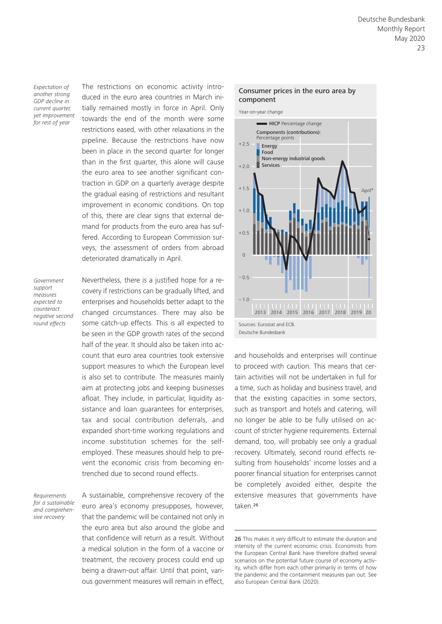*Expectation of another strong GDP decline in current quarter, yet improvement for rest of year*

The restrictions on economic activity introduced in the euro area countries in March initially remained mostly in force in April. Only towards the end of the month were some restrictions eased, with other relaxations in the pipeline. Because the restrictions have now been in place in the second quarter for longer than in the first quarter, this alone will cause the euro area to see another significant contraction in GDP on a quarterly average despite the gradual easing of restrictions and resultant improvement in economic conditions. On top of this, there are clear signs that external demand for products from the euro area has suffered. According to European Commission surveys, the assessment of orders from abroad deteriorated dramatically in April.

*Government support measures expected to counteract negative second round effects*

Nevertheless, there is a justified hope for a recovery if restrictions can be gradually lifted, and enterprises and households better adapt to the changed circumstances. There may also be some catch-up effects. This is all expected to be seen in the GDP growth rates of the second half of the year. It should also be taken into account that euro area countries took extensive support measures to which the European level is also set to contribute. The measures mainly aim at protecting jobs and keeping businesses afloat. They include, in particular, liquidity assistance and loan guarantees for enterprises, tax and social contribution deferrals, and expanded short-time working regulations and income substitution schemes for the selfemployed. These measures should help to prevent the economic crisis from becoming entrenched due to second round effects.

*Requirements for a sustainable and comprehensive recovery*

A sustainable, comprehensive recovery of the euro area's economy presupposes, however, that the pandemic will be contained not only in the euro area but also around the globe and that confidence will return as a result. Without a medical solution in the form of a vaccine or treatment, the recovery process could end up being a drawn-out affair. Until that point, various government measures will remain in effect,



and households and enterprises will continue to proceed with caution. This means that certain activities will not be undertaken in full for a time, such as holiday and business travel, and that the existing capacities in some sectors, such as transport and hotels and catering, will no longer be able to be fully utilised on account of stricter hygiene requirements. External demand, too, will probably see only a gradual recovery. Ultimately, second round effects resulting from households' income losses and a poorer financial situation for enterprises cannot be completely avoided either, despite the extensive measures that governments have taken.<sup>26</sup>

#### Consumer prices in the euro area by component

<sup>26</sup> This makes it very difficult to estimate the duration and intensity of the current economic crisis. Economists from the European Central Bank have therefore drafted several scenarios on the potential future course of economy activity, which differ from each other primarily in terms of how the pandemic and the containment measures pan out. See also European Central Bank (2020).